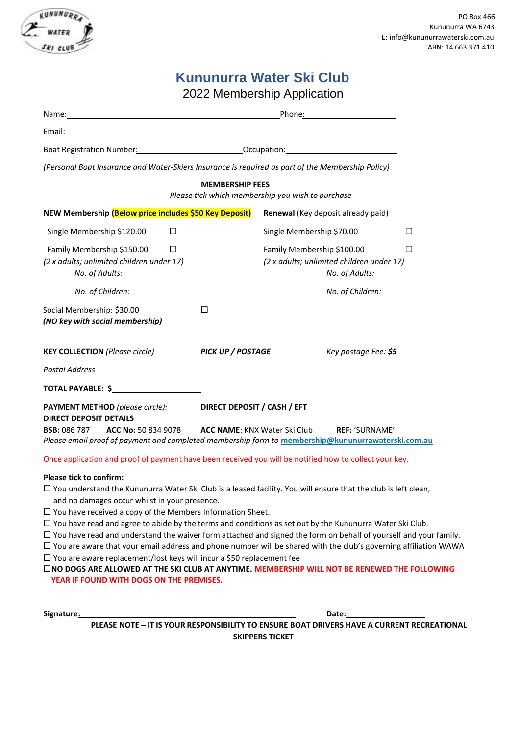

# **Kununurra Water Ski Club**

2022 Membership Application

|                                                                                                                                                 | Boat Registration Number: Cambridge Communication Control of Communication Control of Communication Communication                                          |
|-------------------------------------------------------------------------------------------------------------------------------------------------|------------------------------------------------------------------------------------------------------------------------------------------------------------|
|                                                                                                                                                 | (Personal Boat Insurance and Water-Skiers Insurance is required as part of the Membership Policy)                                                          |
|                                                                                                                                                 | <b>MEMBERSHIP FEES</b><br>Please tick which membership you wish to purchase                                                                                |
| NEW Membership (Below price includes \$50 Key Deposit)                                                                                          | Renewal (Key deposit already paid)                                                                                                                         |
| Single Membership \$120.00<br>$\Box$                                                                                                            | Single Membership \$70.00<br>П                                                                                                                             |
| Family Membership \$150.00<br>П<br>(2 x adults; unlimited children under 17)<br>No. of Adults:______________                                    | Family Membership \$100.00<br>□<br>(2 x adults; unlimited children under 17)<br>No. of Adults:                                                             |
| No. of Children: 1997                                                                                                                           | No. of Children:                                                                                                                                           |
| Social Membership: \$30.00<br>(NO key with social membership)                                                                                   | П                                                                                                                                                          |
| <b>KEY COLLECTION</b> (Please circle)                                                                                                           | <b>PICK UP / POSTAGE</b><br>Key postage Fee: \$5                                                                                                           |
|                                                                                                                                                 |                                                                                                                                                            |
|                                                                                                                                                 |                                                                                                                                                            |
| <b>PAYMENT METHOD</b> (please circle):<br><b>DIRECT DEPOSIT DETAILS</b><br><b>BSB: 086 787 ACC No: 50 834 9078 ACC NAME: KNX Water Ski Club</b> | DIRECT DEPOSIT / CASH / EFT<br><b>REF: 'SURNAME'</b><br>Please email proof of payment and completed membership form to membership@kununurrawaterski.com.au |
|                                                                                                                                                 | Once application and proof of payment have been received you will be notified how to collect your key.                                                     |

#### **Please tick to confirm:**

- You understand the Kununurra Water Ski Club is a leased facility. You will ensure that the club is left clean, and no damages occur whilst in your presence.
- $\Box$  You have received a copy of the Members Information Sheet.
- $\Box$  You have read and agree to abide by the terms and conditions as set out by the Kununurra Water Ski Club.
- $\Box$  You have read and understand the waiver form attached and signed the form on behalf of yourself and your family.
- $\Box$  You are aware that your email address and phone number will be shared with the club's governing affiliation WAWA
- $\Box$  You are aware replacement/lost keys will incur a \$50 replacement fee

**NO DOGS ARE ALLOWED AT THE SKI CLUB AT ANYTIME. MEMBERSHIP WILL NOT BE RENEWED THE FOLLOWING YEAR IF FOUND WITH DOGS ON THE PREMISES.**

**Signature: Date: Date: Date: Date: Date: Date: Date: Date: Date: Date: Date: Date: Date: Date: Date: Date: Date: Date: Date: Date: Date: Date: Date: Date: Date: Date:**

**PLEASE NOTE – IT IS YOUR RESPONSIBILITY TO ENSURE BOAT DRIVERS HAVE A CURRENT RECREATIONAL SKIPPERS TICKET**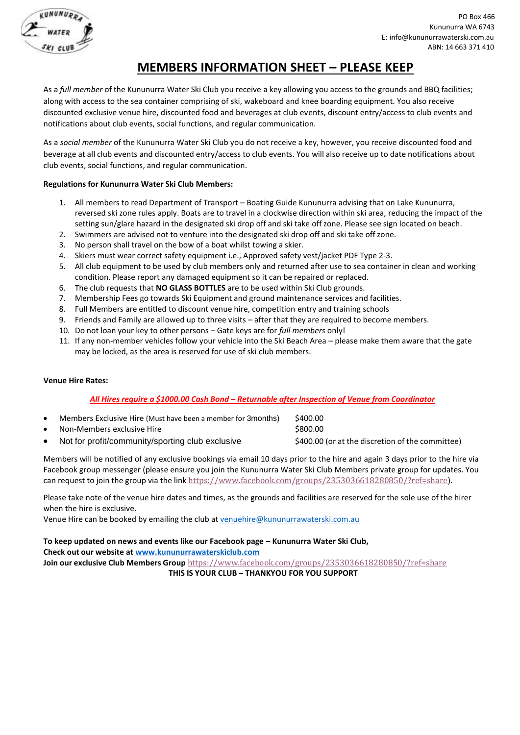

## **MEMBERS INFORMATION SHEET – PLEASE KEEP**

As a *full member* of the Kununurra Water Ski Club you receive a key allowing you access to the grounds and BBQ facilities; along with access to the sea container comprising of ski, wakeboard and knee boarding equipment. You also receive discounted exclusive venue hire, discounted food and beverages at club events, discount entry/access to club events and notifications about club events, social functions, and regular communication.

As a *social member* of the Kununurra Water Ski Club you do not receive a key, however, you receive discounted food and beverage at all club events and discounted entry/access to club events. You will also receive up to date notifications about club events, social functions, and regular communication.

## **Regulations for Kununurra Water Ski Club Members:**

- 1. All members to read Department of Transport Boating Guide Kununurra advising that on Lake Kununurra, reversed ski zone rules apply. Boats are to travel in a clockwise direction within ski area, reducing the impact of the setting sun/glare hazard in the designated ski drop off and ski take off zone. Please see sign located on beach.
- 2. Swimmers are advised not to venture into the designated ski drop off and ski take off zone.
- 3. No person shall travel on the bow of a boat whilst towing a skier.
- 4. Skiers must wear correct safety equipment i.e., Approved safety vest/jacket PDF Type 2-3.
- 5. All club equipment to be used by club members only and returned after use to sea container in clean and working condition. Please report any damaged equipment so it can be repaired or replaced.
- 6. The club requests that **NO GLASS BOTTLES** are to be used within Ski Club grounds.
- 7. Membership Fees go towards Ski Equipment and ground maintenance services and facilities.
- 8. Full Members are entitled to discount venue hire, competition entry and training schools
- 9. Friends and Family are allowed up to three visits after that they are required to become members.
- 10. Do not loan your key to other persons Gate keys are for *full members* only!
- 11. If any non-member vehicles follow your vehicle into the Ski Beach Area please make them aware that the gate may be locked, as the area is reserved for use of ski club members.

### **Venue Hire Rates:**

### *All Hires require a \$1000.00 Cash Bond – Returnable after Inspection of Venue from Coordinator*

|           | Members Exclusive Hire (Must have been a member for 3months) | \$400.00                                         |
|-----------|--------------------------------------------------------------|--------------------------------------------------|
| $\bullet$ | Non-Members exclusive Hire                                   | \$800.00                                         |
|           | Not for profit/community/sporting club exclusive             | \$400.00 (or at the discretion of the committee) |

Members will be notified of any exclusive bookings via email 10 days prior to the hire and again 3 days prior to the hire via Facebook group messenger (please ensure you join the Kununurra Water Ski Club Members private group for updates. You can request to join the group via the link <https://www.facebook.com/groups/2353036618280850/?ref=share>).

Please take note of the venue hire dates and times, as the grounds and facilities are reserved for the sole use of the hirer when the hire is exclusive.

Venue Hire can be booked by emailing the club at [venuehire@kununurrawaterski.com.au](mailto:venuehire@kununurrawaterski.com.au)

**To keep updated on news and events like our Facebook page – Kununurra Water Ski Club, Check out our website at [www.kununurrawaterskiclub.com](http://www.kununurrawaterskiclub.com/) Join our exclusive Club Members Group** <https://www.facebook.com/groups/2353036618280850/?ref=share>

**THIS IS YOUR CLUB – THANKYOU FOR YOU SUPPORT**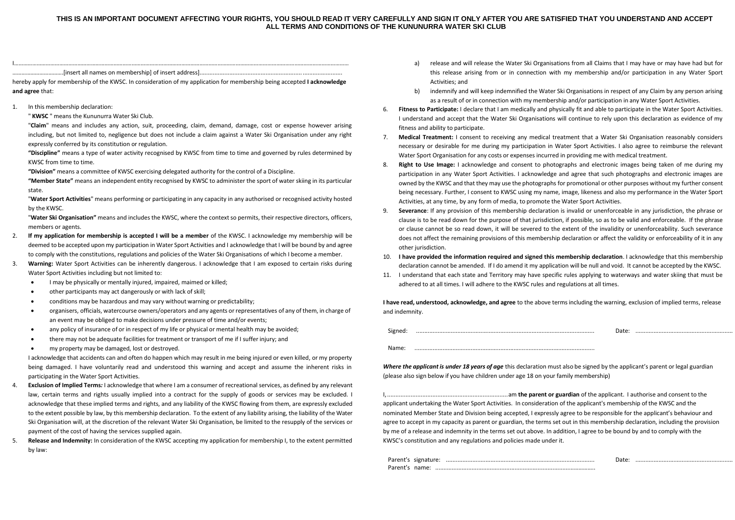#### THIS IS AN IMPORTANT DOCUMENT AFFECTING YOUR RIGHTS. YOU SHOULD READ IT VERY CAREFULLY AND SIGN IT ONLY AFTER YOU ARE SATISFIED THAT YOU UNDERSTAND AND ACCEPT **ALL TERMS AND CONDITIONS OF THE KUNUNURRA WATER SKI CLUB**

| ames on membershin] of insert address]<br>$\mathsf{I}$ insert |  |
|---------------------------------------------------------------|--|

hereby apply for membership of the KWSC. In consideration of my application for membership being accepted **I acknowledge and agree** that:

1. In this membership declaration:

" **KWSC** " means the Kununurra Water Ski Club.

"**Claim**" means and includes any action, suit, proceeding, claim, demand, damage, cost or expense however arising including, but not limited to, negligence but does not include a claim against a Water Ski Organisation under any right expressly conferred by its constitution or regulation.

**"Discipline"** means a type of water activity recognised by KWSC from time to time and governed by rules determined by KWSC from time to time.

**"Division"** means a committee of KWSC exercising delegated authority for the control of a Discipline.

**"Member State"** means an independent entity recognised by KWSC to administer the sport of water skiing in its particular state.

"**Water Sport Activities**" means performing or participating in any capacity in any authorised or recognised activity hosted by the KWSC.

"**Water Ski Organisation"** means and includes the KWSC, where the contextso permits, their respective directors, officers, members or agents.

- 2. **If my application for membership is accepted I will be a member** of the KWSC. I acknowledge my membership will be deemed to be accepted upon my participation in Water Sport Activities and I acknowledge that I will be bound by and agree to comply with the constitutions, regulations and policies of the Water Ski Organisations of which I become a member.
- 3. **Warning:** Water Sport Activities can be inherently dangerous. I acknowledge that I am exposed to certain risks during Water Sport Activities including but not limited to:
	- I may be physically or mentally injured, impaired, maimed or killed;
	- other participants may act dangerously or with lack of skill;
	- conditions may be hazardous and may vary without warning or predictability;
	- organisers, officials, watercourse owners/operators and any agents or representatives of any of them, in charge of an event may be obliged to make decisions under pressure of time and/or events;
	- any policy of insurance of or in respect of my life or physical or mental health may be avoided;
	- there may not be adequate facilities for treatment or transport of me if I suffer injury; and
	- my property may be damaged, lost or destroyed.

I acknowledge that accidents can and often do happen which may result in me being injured or even killed, or my property being damaged. I have voluntarily read and understood this warning and accept and assume the inherent risks in participating in the Water Sport Activities.

- 4. **Exclusion of Implied Terms***:* I acknowledge that where I am a consumer of recreational services, as defined by any relevant law, certain terms and rights usually implied into a contract for the supply of goods or services may be excluded. I acknowledge that these implied terms and rights, and any liability of the KWSC flowing from them, are expressly excluded to the extent possible by law, by this membership declaration. To the extent of any liability arising, the liability of the Water Ski Organisation will, at the discretion of the relevant Water Ski Organisation, be limited to the resupply of the services or payment of the cost of having the services supplied again.
- 5. **Release and Indemnity:** In consideration of the KWSC accepting my application for membership I, to the extent permitted by law:
- a) release and will release the Water Ski Organisations from all Claims that I may have or may have had but for this release arising from or in connection with my membership and/or participation in any Water Sport Activities; and
- b) indemnify and will keep indemnified the Water Ski Organisations in respect of any Claim by any person arising as a result of or in connection with my membership and/or participation in any Water Sport Activities.
- 6. **Fitness to Participate:** I declare that I am medically and physically fit and able to participate in the Water Sport Activities. I understand and accept that the Water Ski Organisations will continue to rely upon this declaration as evidence of my fitness and ability to participate.
- 7. **Medical Treatment:** I consent to receiving any medical treatment that a Water Ski Organisation reasonably considers necessary or desirable for me during my participation in Water Sport Activities. I also agree to reimburse the relevant Water Sport Organisation for any costs or expenses incurred in providing me with medical treatment.
- 8. **Right to Use Image:** I acknowledge and consent to photographs and electronic images being taken of me during my participation in any Water Sport Activities. I acknowledge and agree that such photographs and electronic images are owned by the KWSC and that they may use the photographs for promotional or other purposes without my further consent being necessary. Further, I consent to KWSC using my name, image, likeness and also my performance in the Water Sport Activities, at any time, by any form of media, to promote the Water Sport Activities.
- 9. **Severance**: If any provision of this membership declaration is invalid or unenforceable in any jurisdiction, the phrase or clause is to be read down for the purpose of that jurisdiction, if possible, so as to be valid and enforceable. If the phrase or clause cannot be so read down, it will be severed to the extent of the invalidity or unenforceability. Such severance does not affect the remaining provisions of this membership declaration or affect the validity or enforceability of it in any other jurisdiction.
- 10. **I have provided the information required and signed this membership declaration**. I acknowledge that this membership declaration cannot be amended. If I do amend it my application will be null and void. It cannot be accepted by the KWSC.
- 11. I understand that each state and Territory may have specific rules applying to waterways and water skiing that must be adhered to at all times. I will adhere to the KWSC rules and regulations at all times.

**I have read, understood, acknowledge, and agree** to the above terms including the warning, exclusion of implied terms, release and indemnity.

Signed: ............................................................................................................ Date: ...........................................................

Name: .............................................................................................................

*Where the applicant is under 18 years of age* this declaration must also be signed by the applicant's parent or legal guardian (please also sign below if you have children under age 18 on your family membership)

I,........................................................................am **the parent or guardian** of the applicant. I authorise and consent to the applicant undertaking the Water Sport Activities. In consideration of the applicant's membership of the KWSC and the nominated Member State and Division being accepted, I expressly agree to be responsible for the applicant's behaviour and agree to accept in my capacity as parent or guardian, the terms set out in this membership declaration, including the provision by me of a release and indemnity in the terms set out above. In addition, I agree to be bound by and to comply with the KWSC's constitution and any regulations and policies made under it.

|                | Parent's signature: |  |
|----------------|---------------------|--|
| Parent's name: |                     |  |

Parent's signature: .......................................................................................... Date: ...........................................................